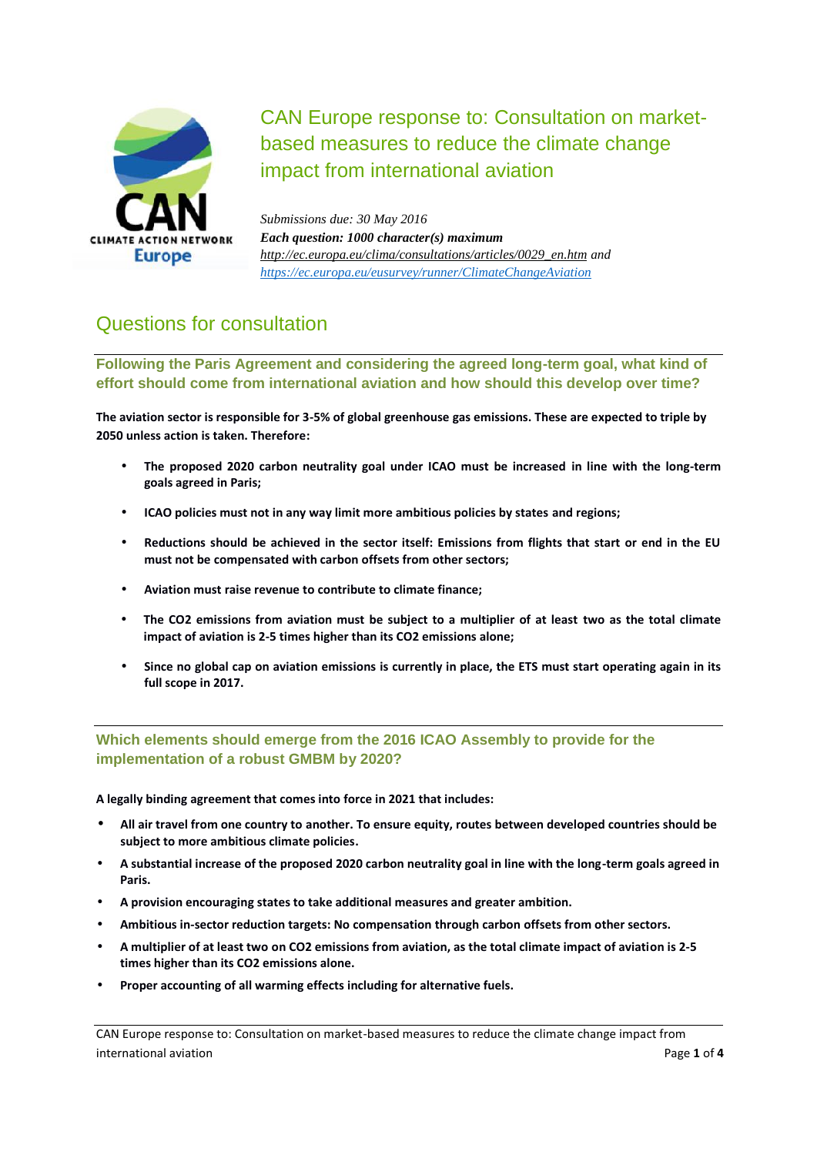

CAN Europe response to: Consultation on market based measures to reduce the climate change impact from international aviation

*Submissions due: 30 May 2016 Each question: 1000 character(s) maximum http://ec.europa.eu/clima/consultations/articles/0029\_en.htm and https://ec.europa.eu/eusurvey/runner/ClimateChangeAviation*

## Questions for consultation

**Following the Paris Agreement and considering the agreed long-term goal, what kind of effort should come from international aviation and how should this develop over time?**

**The aviation sector is responsible for 3-5% of global greenhouse gas emissions. These are expected to triple by 2050 unless action is taken. Therefore:**

- **The proposed 2020 carbon neutrality goal under ICAO must be increased in line with the long-term goals agreed in Paris;**
- **ICAO policies must not in any way limit more ambitious policies by states and regions;**
- **Reductions should be achieved in the sector itself: Emissions from flights that start or end in the EU must not be compensated with carbon offsets from other sectors;**
- **Aviation must raise revenue to contribute to climate finance;**
- **The CO2 emissions from aviation must be subject to a multiplier of at least two as the total climate impact of aviation is 2-5 times higher than its CO2 emissions alone;**
- **Since no global cap on aviation emissions is currently in place, the ETS must start operating again in its full scope in 2017.**

**Which elements should emerge from the 2016 ICAO Assembly to provide for the implementation of a robust GMBM by 2020?**

**A legally binding agreement that comes into force in 2021 that includes:**

- **All air travel from one country to another. To ensure equity, routes between developed countries should be subject to more ambitious climate policies.**
- **A substantial increase of the proposed 2020 carbon neutrality goal in line with the long-term goals agreed in Paris.**
- **A provision encouraging states to take additional measures and greater ambition.**
- **Ambitious in-sector reduction targets: No compensation through carbon offsets from other sectors.**
- **A multiplier of at least two on CO2 emissions from aviation, as the total climate impact of aviation is 2-5 times higher than its CO2 emissions alone.**
- **Proper accounting of all warming effects including for alternative fuels.**

CAN Europe response to: Consultation on market-based measures to reduce the climate change impact from international aviation Page **1** of **4**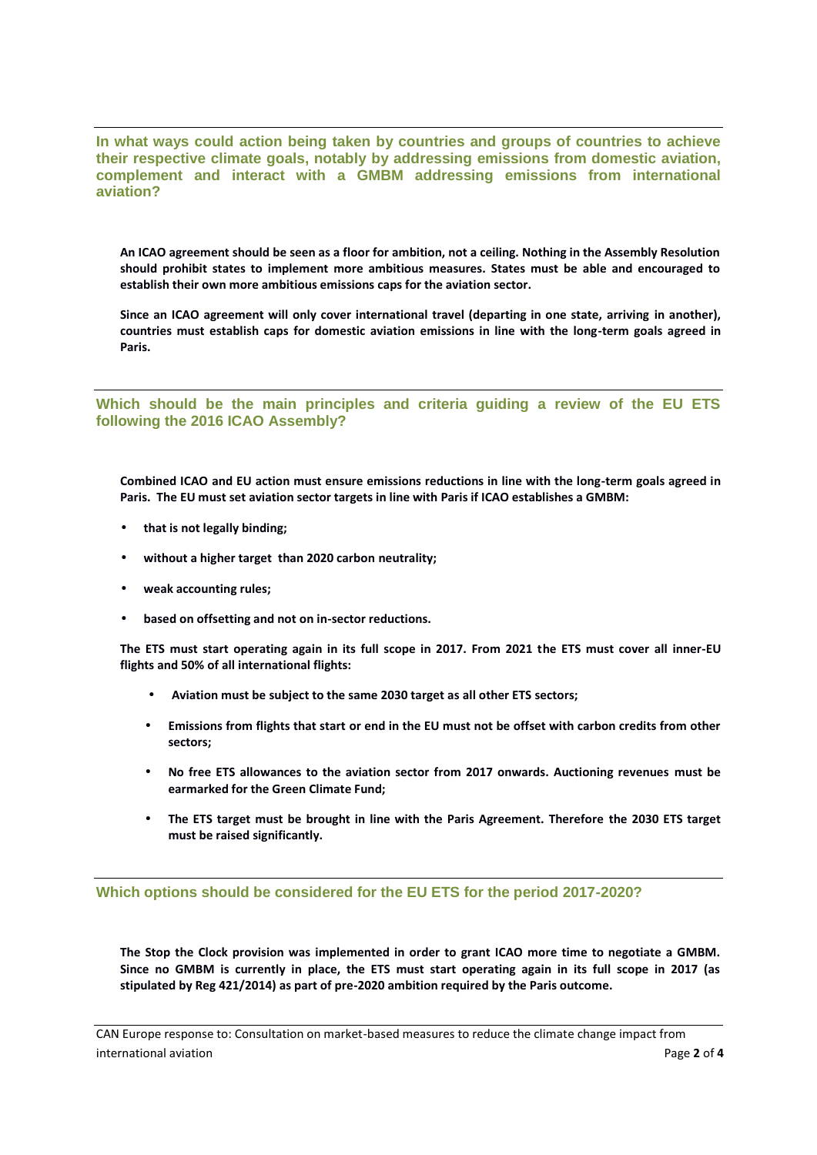**In what ways could action being taken by countries and groups of countries to achieve their respective climate goals, notably by addressing emissions from domestic aviation, complement and interact with a GMBM addressing emissions from international aviation?**

**An ICAO agreement should be seen as a floor for ambition, not a ceiling. Nothing in the Assembly Resolution should prohibit states to implement more ambitious measures. States must be able and encouraged to establish their own more ambitious emissions caps for the aviation sector.**

**Since an ICAO agreement will only cover international travel (departing in one state, arriving in another), countries must establish caps for domestic aviation emissions in line with the long-term goals agreed in Paris.**

**Which should be the main principles and criteria guiding a review of the EU ETS following the 2016 ICAO Assembly?**

**Combined ICAO and EU action must ensure emissions reductions in line with the long-term goals agreed in Paris. The EU must set aviation sector targets in line with Paris if ICAO establishes a GMBM:**

- **that is not legally binding;**
- **without a higher target than 2020 carbon neutrality;**
- **weak accounting rules;**
- **based on offsetting and not on in-sector reductions.**

**The ETS must start operating again in its full scope in 2017. From 2021 the ETS must cover all inner-EU flights and 50% of all international flights:**

- **Aviation must be subject to the same 2030 target as all other ETS sectors;**
- **Emissions from flights that start or end in the EU must not be offset with carbon credits from other sectors;**
- **No free ETS allowances to the aviation sector from 2017 onwards. Auctioning revenues must be earmarked for the Green Climate Fund;**
- **The ETS target must be brought in line with the Paris Agreement. Therefore the 2030 ETS target must be raised significantly.**

**Which options should be considered for the EU ETS for the period 2017-2020?**

**The Stop the Clock provision was implemented in order to grant ICAO more time to negotiate a GMBM. Since no GMBM is currently in place, the ETS must start operating again in its full scope in 2017 (as stipulated by Reg 421/2014) as part of pre-2020 ambition required by the Paris outcome.**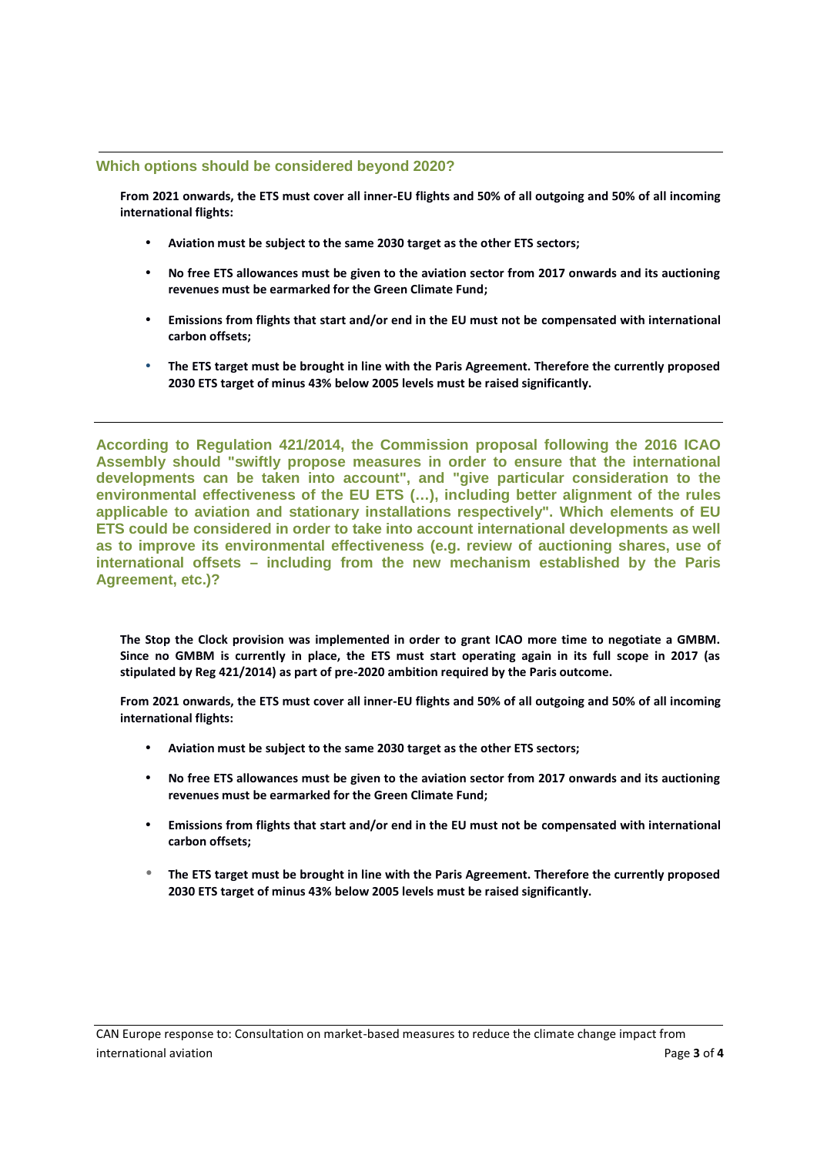## **Which options should be considered beyond 2020?**

**From 2021 onwards, the ETS must cover all inner-EU flights and 50% of all outgoing and 50% of all incoming international flights:**

- **Aviation must be subject to the same 2030 target as the other ETS sectors;**
- **No free ETS allowances must be given to the aviation sector from 2017 onwards and its auctioning revenues must be earmarked for the Green Climate Fund;**
- **Emissions from flights that start and/or end in the EU must not be compensated with international carbon offsets;**
- **The ETS target must be brought in line with the Paris Agreement. Therefore the currently proposed 2030 ETS target of minus 43% below 2005 levels must be raised significantly.**

**According to Regulation 421/2014, the Commission proposal following the 2016 ICAO Assembly should "swiftly propose measures in order to ensure that the international developments can be taken into account", and "give particular consideration to the environmental effectiveness of the EU ETS (…), including better alignment of the rules applicable to aviation and stationary installations respectively". Which elements of EU ETS could be considered in order to take into account international developments as well as to improve its environmental effectiveness (e.g. review of auctioning shares, use of international offsets – including from the new mechanism established by the Paris Agreement, etc.)?**

**The Stop the Clock provision was implemented in order to grant ICAO more time to negotiate a GMBM. Since no GMBM is currently in place, the ETS must start operating again in its full scope in 2017 (as stipulated by Reg 421/2014) as part of pre-2020 ambition required by the Paris outcome.**

**From 2021 onwards, the ETS must cover all inner-EU flights and 50% of all outgoing and 50% of all incoming international flights:**

- **Aviation must be subject to the same 2030 target as the other ETS sectors;**
- **No free ETS allowances must be given to the aviation sector from 2017 onwards and its auctioning revenues must be earmarked for the Green Climate Fund;**
- **Emissions from flights that start and/or end in the EU must not be compensated with international carbon offsets;**
- **The ETS target must be brought in line with the Paris Agreement. Therefore the currently proposed 2030 ETS target of minus 43% below 2005 levels must be raised significantly.**